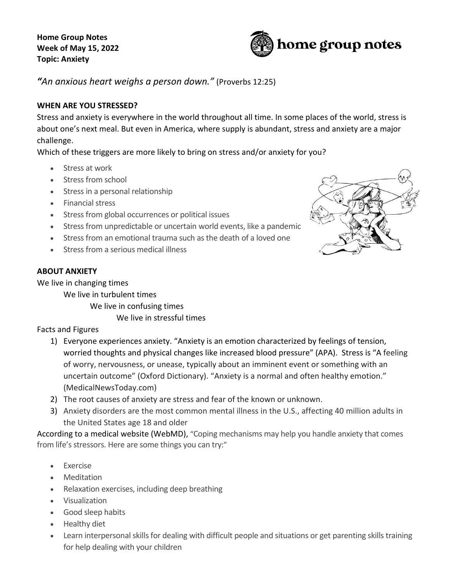**Home Group Notes Week of May 15, 2022 Topic: Anxiety**



*"An anxious heart weighs a person down."* (Proverbs 12:25)

# **WHEN ARE YOU STRESSED?**

Stress and anxiety is everywhere in the world throughout all time. In some places of the world, stress is about one's next meal. But even in America, where supply is abundant, stress and anxiety are a major challenge.

Which of these triggers are more likely to bring on stress and/or anxiety for you?

- Stress at work
- Stress from school
- Stress in a personal relationship
- Financial stress
- Stress from global occurrences or political issues
- Stress from unpredictable or uncertain world events, like a pandemic
- Stress from an emotional trauma such as the death of a loved one
- Stress from a serious medical illness

## **ABOUT ANXIETY**

We live in changing times

We live in turbulent times

We live in confusing times

We live in stressful times

Facts and Figures

- 1) Everyone experiences anxiety. "Anxiety is an emotion characterized by feelings of tension, worried thoughts and physical changes like increased blood pressure" (APA). Stress is "A feeling of worry, nervousness, or unease, typically about an imminent event or something with an uncertain outcome" (Oxford Dictionary). "Anxiety is a normal and often healthy emotion." (MedicalNewsToday.com)
- 2) The root causes of anxiety are stress and fear of the known or unknown.
- 3) Anxiety disorders are the most common mental illness in the U.S., affecting 40 million adults in the United States age 18 and older

According to a medical website (WebMD), "Coping mechanisms may help you handle anxiety that comes from life's stressors. Here are some things you can try:"

- Exercise
- Meditation
- Relaxation exercises, including deep breathing
- Visualization
- Good sleep habits
- Healthy diet
- Learn interpersonal skills for dealing with difficult people and situations or get parenting skills training for help dealing with your children

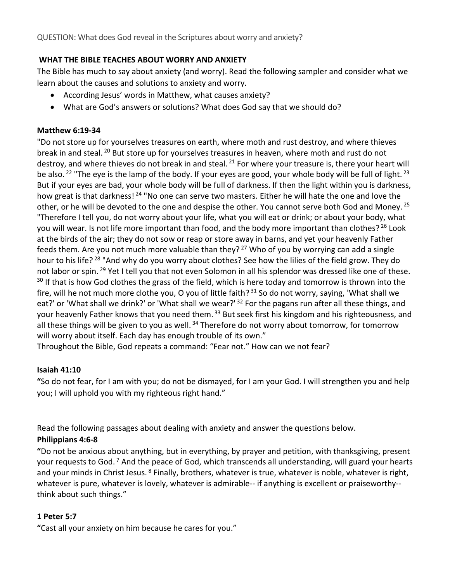# **WHAT THE BIBLE TEACHES ABOUT WORRY AND ANXIETY**

The Bible has much to say about anxiety (and worry). Read the following sampler and consider what we learn about the causes and solutions to anxiety and worry.

- According Jesus' words in Matthew, what causes anxiety?
- What are God's answers or solutions? What does God say that we should do?

#### **Matthew 6:19-34**

"Do not store up for yourselves treasures on earth, where moth and rust destroy, and where thieves break in and steal. <sup>20</sup> But store up for yourselves treasures in heaven, where moth and rust do not destroy, and where thieves do not break in and steal. <sup>21</sup> For where your treasure is, there your heart will be also. <sup>22</sup> "The eye is the lamp of the body. If your eyes are good, your whole body will be full of light. <sup>23</sup> But if your eyes are bad, your whole body will be full of darkness. If then the light within you is darkness, how great is that darkness!<sup>24</sup> "No one can serve two masters. Either he will hate the one and love the other, or he will be devoted to the one and despise the other. You cannot serve both God and Money. <sup>25</sup> "Therefore I tell you, do not worry about your life, what you will eat or drink; or about your body, what you will wear. Is not life more important than food, and the body more important than clothes? <sup>26</sup> Look at the birds of the air; they do not sow or reap or store away in barns, and yet your heavenly Father feeds them. Are you not much more valuable than they?<sup>27</sup> Who of you by worrying can add a single hour to his life? <sup>28</sup> "And why do you worry about clothes? See how the lilies of the field grow. They do not labor or spin. <sup>29</sup> Yet I tell you that not even Solomon in all his splendor was dressed like one of these.  $30$  If that is how God clothes the grass of the field, which is here today and tomorrow is thrown into the fire, will he not much more clothe you, O you of little faith? 31 So do not worry, saying, 'What shall we eat?' or 'What shall we drink?' or 'What shall we wear?' <sup>32</sup> For the pagans run after all these things, and your heavenly Father knows that you need them. <sup>33</sup> But seek first his kingdom and his righteousness, and all these things will be given to you as well. <sup>34</sup> Therefore do not worry about tomorrow, for tomorrow will worry about itself. Each day has enough trouble of its own."

Throughout the Bible, God repeats a command: "Fear not." How can we not fear?

## **Isaiah 41:10**

**"**So do not fear, for I am with you; do not be dismayed, for I am your God. I will strengthen you and help you; I will uphold you with my righteous right hand."

Read the following passages about dealing with anxiety and answer the questions below.

## **Philippians 4:6-8**

**"**Do not be anxious about anything, but in everything, by prayer and petition, with thanksgiving, present your requests to God. <sup>7</sup> And the peace of God, which transcends all understanding, will guard your hearts and your minds in Christ Jesus. <sup>8</sup> Finally, brothers, whatever is true, whatever is noble, whatever is right, whatever is pure, whatever is lovely, whatever is admirable-- if anything is excellent or praiseworthy- think about such things."

## **1 Peter 5:7**

**"**Cast all your anxiety on him because he cares for you."